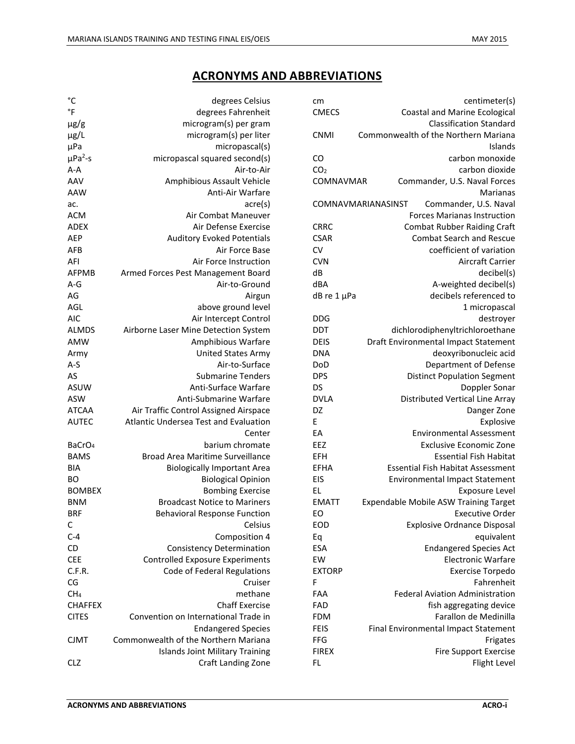## **ACRONYMS AND ABBREVIATIONS**

| сm              | centimeter(s)                               |
|-----------------|---------------------------------------------|
| <b>CMECS</b>    | <b>Coastal and Marine Ecological</b>        |
|                 | <b>Classification Standard</b>              |
| CNMI            | Commonwealth of the Northern Mariana        |
|                 | Islands                                     |
| CO              | carbon monoxide                             |
| CO <sub>2</sub> | carbon dioxide                              |
| COMNAVMAR       | Commander, U.S. Naval Forces                |
|                 | Marianas                                    |
|                 | COMNAVMARIANASINST<br>Commander, U.S. Naval |
|                 | <b>Forces Marianas Instruction</b>          |
| <b>CRRC</b>     | <b>Combat Rubber Raiding Craft</b>          |
| <b>CSAR</b>     | <b>Combat Search and Rescue</b>             |
| CV              | coefficient of variation                    |
| <b>CVN</b>      | <b>Aircraft Carrier</b>                     |
| dB              | decibel(s)                                  |
| dBA             | A-weighted decibel(s)                       |
| dB re 1 µPa     | decibels referenced to                      |
|                 | 1 micropascal                               |
| <b>DDG</b>      | destroyer                                   |
| DDT             | dichlorodiphenyltrichloroethane             |
| <b>DEIS</b>     | Draft Environmental Impact Statement        |
| <b>DNA</b>      | deoxyribonucleic acid                       |
| DoD             | Department of Defense                       |
| <b>DPS</b>      | <b>Distinct Population Segment</b>          |
| DS              | Doppler Sonar                               |
| <b>DVLA</b>     | <b>Distributed Vertical Line Array</b>      |
| DZ              | Danger Zone                                 |
| E               | Explosive                                   |
| EA              | <b>Environmental Assessment</b>             |
| EEZ             | <b>Exclusive Economic Zone</b>              |
| EFH             | <b>Essential Fish Habitat</b>               |
| <b>EFHA</b>     | <b>Essential Fish Habitat Assessment</b>    |
| EIS             | <b>Environmental Impact Statement</b>       |
| EL              | <b>Exposure Level</b>                       |
| <b>EMATT</b>    | Expendable Mobile ASW Training Target       |
| EO              | <b>Executive Order</b>                      |
| EOD             | <b>Explosive Ordnance Disposal</b>          |
| Eq              | equivalent                                  |
| ESA             | <b>Endangered Species Act</b>               |
| EW              | <b>Electronic Warfare</b>                   |
| <b>EXTORP</b>   | <b>Exercise Torpedo</b>                     |
| F               | Fahrenheit                                  |
| FAA             | <b>Federal Aviation Administration</b>      |
| FAD             | fish aggregating device                     |
| <b>FDM</b>      | Farallon de Medinilla                       |
| <b>FEIS</b>     | Final Environmental Impact Statement        |
| FFG             | Frigates                                    |
| <b>FIREX</b>    | <b>Fire Support Exercise</b>                |
| FL.             | Flight Level                                |

| °C                       | degrees Celsius                              |
|--------------------------|----------------------------------------------|
| °F                       | degrees Fahrenheit                           |
| $\mu$ g/g                | microgram(s) per gram                        |
| µg/L                     | microgram(s) per liter                       |
| μPa                      | micropascal(s)                               |
| $\mu$ Pa <sup>2</sup> -s | micropascal squared second(s)                |
| $A - A$                  | Air-to-Air                                   |
| AAV                      | Amphibious Assault Vehicle                   |
| <b>AAW</b>               | Anti-Air Warfare                             |
| ac.                      | acre(s)                                      |
| <b>ACM</b>               | Air Combat Maneuver                          |
| <b>ADEX</b>              | Air Defense Exercise                         |
| <b>AEP</b>               | <b>Auditory Evoked Potentials</b>            |
| AFB                      | Air Force Base                               |
| AFI                      | Air Force Instruction                        |
| AFPMB                    | Armed Forces Pest Management Board           |
| A-G                      | Air-to-Ground                                |
| AG                       | Airgun                                       |
| AGL                      | above ground level                           |
| <b>AIC</b>               | Air Intercept Control                        |
| <b>ALMDS</b>             | Airborne Laser Mine Detection System         |
| <b>AMW</b>               | Amphibious Warfare                           |
| Army                     | <b>United States Army</b>                    |
| $A-S$                    | Air-to-Surface                               |
| AS                       | <b>Submarine Tenders</b>                     |
| <b>ASUW</b>              | Anti-Surface Warfare                         |
| <b>ASW</b>               | Anti-Submarine Warfare                       |
| <b>ATCAA</b>             | Air Traffic Control Assigned Airspace        |
| <b>AUTEC</b>             | <b>Atlantic Undersea Test and Evaluation</b> |
|                          | Center                                       |
| BaCrO <sub>4</sub>       | barium chromate                              |
| <b>BAMS</b>              | <b>Broad Area Maritime Surveillance</b>      |
| BIA                      | <b>Biologically Important Area</b>           |
| BО                       | <b>Biological Opinion</b>                    |
| <b>BOMBEX</b>            | <b>Bombing Exercise</b>                      |
| <b>BNM</b>               | <b>Broadcast Notice to Mariners</b>          |
| <b>BRF</b>               | <b>Behavioral Response Function</b>          |
| С                        | Celsius                                      |
| $C-4$                    | Composition 4                                |
|                          |                                              |
| CD                       | <b>Consistency Determination</b>             |
| <b>CEE</b>               | <b>Controlled Exposure Experiments</b>       |
| C.F.R.                   | Code of Federal Regulations                  |
| CG                       | Cruiser                                      |
| CH <sub>4</sub>          | methane                                      |
| <b>CHAFFEX</b>           | <b>Chaff Exercise</b>                        |
| <b>CITES</b>             | Convention on International Trade in         |
|                          | <b>Endangered Species</b>                    |
| CJMT                     | Commonwealth of the Northern Mariana         |
|                          | Islands Joint Military Training              |
| CLZ                      | Craft Landing Zone                           |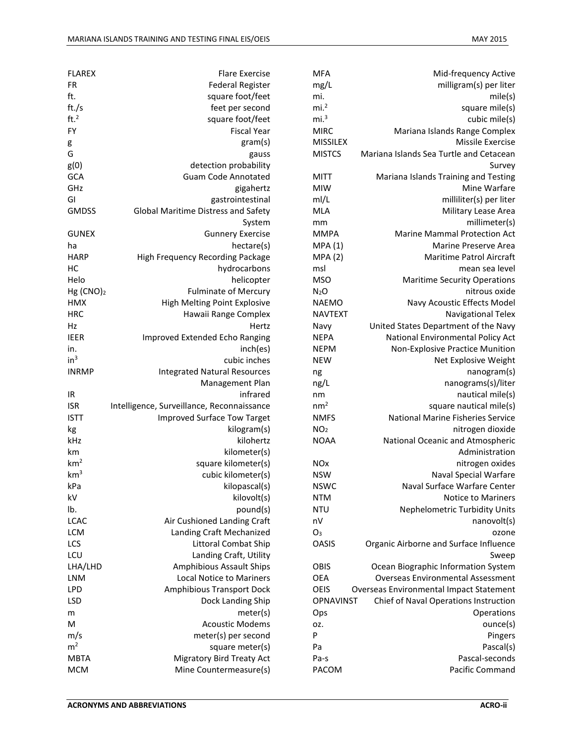| <b>MFA</b>            | Mid-frequency Active                     |
|-----------------------|------------------------------------------|
| mg/L                  | milligram(s) per liter                   |
| mi.                   | mile(s)                                  |
| mi. <sup>2</sup>      | square mile(s)                           |
| mi. <sup>3</sup>      | cubic mile(s)                            |
| <b>MIRC</b>           | Mariana Islands Range Complex            |
| <b>MISSILEX</b>       | <b>Missile Exercise</b>                  |
| <b>MISTCS</b>         | Mariana Islands Sea Turtle and Cetacean  |
|                       | Survey                                   |
| <b>MITT</b>           | Mariana Islands Training and Testing     |
| <b>MIW</b>            | Mine Warfare                             |
| ml/L                  | milliliter(s) per liter                  |
| <b>MLA</b>            | Military Lease Area                      |
| mm                    | millimeter(s)                            |
| <b>MMPA</b>           | <b>Marine Mammal Protection Act</b>      |
| MPA(1)                | <b>Marine Preserve Area</b>              |
| <b>MPA (2)</b>        | <b>Maritime Patrol Aircraft</b>          |
| msl                   | mean sea level                           |
| <b>MSO</b>            | <b>Maritime Security Operations</b>      |
| N <sub>2</sub> O      | nitrous oxide                            |
| <b>NAEMO</b>          | Navy Acoustic Effects Model              |
| <b>NAVTEXT</b>        |                                          |
|                       | Navigational Telex                       |
| Navy                  | United States Department of the Navy     |
| <b>NEPA</b>           | National Environmental Policy Act        |
| <b>NEPM</b>           | Non-Explosive Practice Munition          |
| <b>NEW</b>            | Net Explosive Weight                     |
| ng                    | nanogram(s)                              |
| ng/L                  | nanograms(s)/liter                       |
| nm                    | nautical mile(s)                         |
| nm <sup>2</sup>       | square nautical mile(s)                  |
| <b>NMFS</b>           | National Marine Fisheries Service        |
| NO <sub>2</sub>       | nitrogen dioxide                         |
| <b>NOAA</b>           | National Oceanic and Atmospheric         |
|                       | Administration                           |
| <b>NO<sub>x</sub></b> | nitrogen oxides                          |
| <b>NSW</b>            | Naval Special Warfare                    |
| <b>NSWC</b>           | Naval Surface Warfare Center             |
| <b>NTM</b>            | Notice to Mariners                       |
| <b>NTU</b>            | <b>Nephelometric Turbidity Units</b>     |
| nV                    | nanovolt(s)                              |
| O <sub>3</sub>        | ozone                                    |
| <b>OASIS</b>          | Organic Airborne and Surface Influence   |
|                       | Sweep                                    |
| OBIS                  | Ocean Biographic Information System      |
| OEA                   | <b>Overseas Environmental Assessment</b> |
| OEIS                  | Overseas Environmental Impact Statement  |
| <b>OPNAVINST</b>      | Chief of Naval Operations Instruction    |
| Ops                   | Operations                               |
|                       | ounce(s)                                 |
| oz.<br>P              |                                          |
|                       | Pingers                                  |
| Pa                    | Pascal(s)                                |
| Pa-s                  | Pascal-seconds                           |
| PACOM                 | Pacific Command                          |
|                       |                                          |

| <b>FLAREX</b>         | <b>Flare Exercise</b>                      |
|-----------------------|--------------------------------------------|
| FR                    | <b>Federal Register</b>                    |
| ft.                   | square foot/feet                           |
| ft./s                 | feet per second                            |
| ft. $2$               | square foot/feet                           |
| FY                    | <b>Fiscal Year</b>                         |
| g                     | gram(s)                                    |
| G                     | gauss                                      |
| g(0)                  | detection probability                      |
| GCA                   | <b>Guam Code Annotated</b>                 |
| GHz                   | gigahertz                                  |
| GI                    | gastrointestinal                           |
| <b>GMDSS</b>          | <b>Global Maritime Distress and Safety</b> |
|                       | System                                     |
| <b>GUNEX</b>          | <b>Gunnery Exercise</b>                    |
| ha                    | hectare(s)                                 |
| <b>HARP</b>           | High Frequency Recording Package           |
| нс                    | hydrocarbons                               |
| Helo                  | helicopter                                 |
| Hg (CNO) <sub>2</sub> | <b>Fulminate of Mercury</b>                |
| <b>HMX</b>            | <b>High Melting Point Explosive</b>        |
| <b>HRC</b>            | Hawaii Range Complex                       |
| Hz                    | Hertz                                      |
| <b>IEER</b>           | Improved Extended Echo Ranging             |
| in.                   | inch(es)                                   |
| in <sup>3</sup>       | cubic inches                               |
| <b>INRMP</b>          | <b>Integrated Natural Resources</b>        |
|                       | Management Plan                            |
| IR                    | infrared                                   |
|                       |                                            |
|                       |                                            |
| <b>ISR</b>            | Intelligence, Surveillance, Reconnaissance |
| <b>ISTT</b>           | <b>Improved Surface Tow Target</b>         |
| kg                    | kilogram(s)                                |
| kHz                   | kilohertz                                  |
| km                    | kilometer(s)                               |
| km <sup>2</sup>       | square kilometer(s)                        |
| km <sup>3</sup>       | cubic kilometer(s)                         |
| kPa                   | kilopascal(s)                              |
| kV                    | kilovolt(s)                                |
| lb.                   | pound(s)                                   |
| <b>LCAC</b>           | Air Cushioned Landing Craft                |
| <b>LCM</b>            | Landing Craft Mechanized                   |
| LCS                   | <b>Littoral Combat Ship</b>                |
| LCU                   | Landing Craft, Utility                     |
| LHA/LHD               | Amphibious Assault Ships                   |
| <b>LNM</b>            | <b>Local Notice to Mariners</b>            |
| LPD                   | <b>Amphibious Transport Dock</b>           |
| LSD                   | Dock Landing Ship                          |
| m                     | meter(s)                                   |
| M                     | <b>Acoustic Modems</b>                     |
| m/s                   | meter(s) per second                        |
| m <sup>2</sup>        | square meter(s)                            |
| <b>MBTA</b>           | <b>Migratory Bird Treaty Act</b>           |
| <b>MCM</b>            | Mine Countermeasure(s)                     |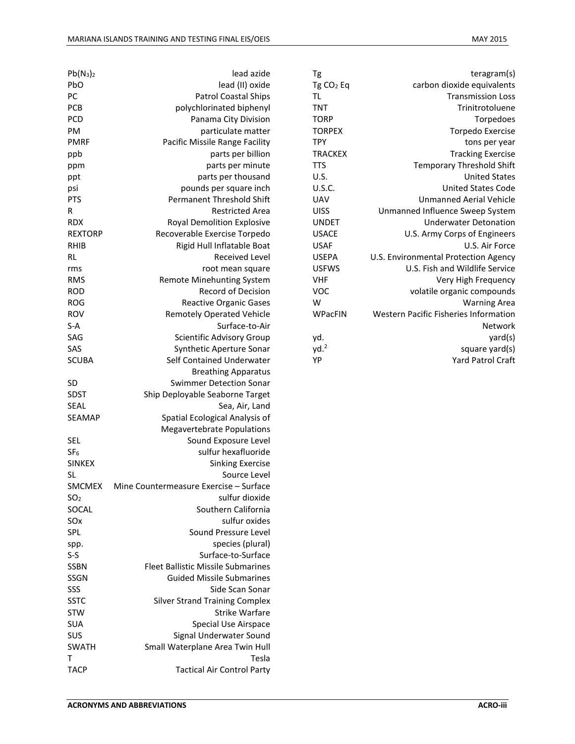| Tg                    | teragram(s)                                  |
|-----------------------|----------------------------------------------|
| Tg CO <sub>2</sub> Eq | carbon dioxide equivalents                   |
| ΤL                    | <b>Transmission Loss</b>                     |
| <b>TNT</b>            | Trinitrotoluene                              |
| <b>TORP</b>           | Torpedoes                                    |
| <b>TORPEX</b>         | <b>Torpedo Exercise</b>                      |
| <b>TPY</b>            | tons per year                                |
| <b>TRACKEX</b>        | <b>Tracking Exercise</b>                     |
| <b>TTS</b>            | <b>Temporary Threshold Shift</b>             |
| U.S.                  | <b>United States</b>                         |
| <b>U.S.C.</b>         | <b>United States Code</b>                    |
| UAV                   | <b>Unmanned Aerial Vehicle</b>               |
| <b>UISS</b>           | Unmanned Influence Sweep System              |
| <b>UNDET</b>          | <b>Underwater Detonation</b>                 |
| <b>USACE</b>          | U.S. Army Corps of Engineers                 |
| <b>USAF</b>           | U.S. Air Force                               |
| <b>USEPA</b>          | U.S. Environmental Protection Agency         |
| <b>USFWS</b>          | U.S. Fish and Wildlife Service               |
| <b>VHF</b>            | Very High Frequency                          |
| VOC                   | volatile organic compounds                   |
| W                     | <b>Warning Area</b>                          |
| WPacFIN               | <b>Western Pacific Fisheries Information</b> |
|                       | Network                                      |
| yd.                   | yard(s)                                      |
| yd. <sup>2</sup>      | square yard(s)                               |
| YP                    | <b>Yard Patrol Craft</b>                     |

| $Pb(N_3)_2$     | lead azide                                |
|-----------------|-------------------------------------------|
| PbO             | lead (II) oxide                           |
| PC              | <b>Patrol Coastal Ships</b>               |
| PCB             | polychlorinated biphenyl                  |
| <b>PCD</b>      | Panama City Division                      |
| PM              | particulate matter                        |
| PMRF            | Pacific Missile Range Facility            |
| ppb             | parts per billion                         |
| ppm             | parts per minute                          |
| ppt             | parts per thousand                        |
| psi             | pounds per square inch                    |
| PTS             | <b>Permanent Threshold Shift</b>          |
| R               | <b>Restricted Area</b>                    |
| RDX             | <b>Royal Demolition Explosive</b>         |
| REXTORP         | Recoverable Exercise Torpedo              |
| RHIB            | Rigid Hull Inflatable Boat                |
| RL              | <b>Received Level</b>                     |
| rms             | root mean square                          |
| RMS             | <b>Remote Minehunting System</b>          |
| <b>ROD</b>      | <b>Record of Decision</b>                 |
| <b>ROG</b>      | <b>Reactive Organic Gases</b>             |
| <b>ROV</b>      | <b>Remotely Operated Vehicle</b>          |
| S-A             | Surface-to-Air                            |
| SAG             | Scientific Advisory Group                 |
| SAS             | Synthetic Aperture Sonar                  |
| <b>SCUBA</b>    | Self Contained Underwater                 |
|                 | <b>Breathing Apparatus</b>                |
| <b>SD</b>       | <b>Swimmer Detection Sonar</b>            |
| SDST            | Ship Deployable Seaborne Target           |
| SEAL            | Sea, Air, Land                            |
| <b>SEAMAP</b>   | Spatial Ecological Analysis of            |
|                 | <b>Megavertebrate Populations</b>         |
| SEL             | Sound Exposure Level                      |
| SF <sub>6</sub> | sulfur hexafluoride                       |
| <b>SINKEX</b>   | <b>Sinking Exercise</b>                   |
| SL              | Source Level                              |
| SMCMEX          | Mine Countermeasure Exercise - Surface    |
| SO <sub>2</sub> | sulfur dioxide                            |
| SOCAL           | Southern California                       |
| SOx             | sulfur oxides                             |
| SPL             | Sound Pressure Level                      |
|                 | species (plural)                          |
| spp.<br>$S-S$   | Surface-to-Surface                        |
| <b>SSBN</b>     | <b>Fleet Ballistic Missile Submarines</b> |
|                 | <b>Guided Missile Submarines</b>          |
| SSGN            |                                           |
| SSS             | Side Scan Sonar                           |
| <b>SSTC</b>     | <b>Silver Strand Training Complex</b>     |
| <b>STW</b>      | <b>Strike Warfare</b>                     |
| SUA             | <b>Special Use Airspace</b>               |
| SUS             | Signal Underwater Sound                   |
| <b>SWATH</b>    |                                           |
|                 | Small Waterplane Area Twin Hull           |
| т               | Tesla                                     |
| <b>TACP</b>     | <b>Tactical Air Control Party</b>         |